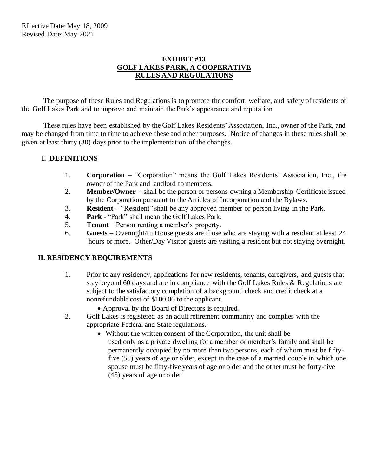#### **EXHIBIT #13 GOLF LAKES PARK, A COOPERATIVE RULES AND REGULATIONS**

The purpose of these Rules and Regulations is to promote the comfort, welfare, and safety of residents of the Golf Lakes Park and to improve and maintain the Park's appearance and reputation.

These rules have been established by the Golf Lakes Residents' Association, Inc., owner of the Park, and may be changed from time to time to achieve these and other purposes. Notice of changes in these rules shall be given at least thirty (30) days prior to the implementation of the changes.

# **I. DEFINITIONS**

- 1. **Corporation** "Corporation" means the Golf Lakes Residents' Association, Inc., the owner of the Park and landlord to members.
- 2. **Member/Owner** shall be the person or persons owning a Membership Certificate issued by the Corporation pursuant to the Articles of Incorporation and the Bylaws.
- 3. **Resident** "Resident" shall be any approved member or person living in the Park.
- 4. **Park** "Park" shall mean the Golf Lakes Park.
- 5. **Tenant**  Person renting a member's property.
- 6. **Guests**  Overnight/In House guests are those who are staying with a resident at least 24 hours or more. Other/Day Visitor guests are visiting a resident but not staying overnight.

#### **II. RESIDENCY REQUIREMENTS**

- 1. Prior to any residency, applications for new residents, tenants, caregivers, and guests that stay beyond 60 days and are in compliance with the Golf Lakes Rules & Regulations are subject to the satisfactory completion of a background check and credit check at a nonrefundable cost of \$100.00 to the applicant.
	- Approval by the Board of Directors is required.
- 2. Golf Lakes is registered as an adult retirement community and complies with the appropriate Federal and State regulations.
	- Without the written consent of the Corporation, the unit shall be used only as a private dwelling for a member or member's family and shall be permanently occupied by no more than two persons, each of whom must be fiftyfive (55) years of age or older, except in the case of a married couple in which one spouse must be fifty-five years of age or older and the other must be forty-five (45) years of age or older.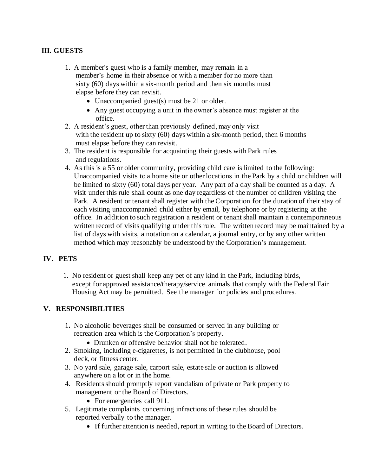### **III. GUESTS**

- 1. A member's guest who is a family member, may remain in a member's home in their absence or with a member for no more than sixty (60) days within a six-month period and then six months must elapse before they can revisit.
	- Unaccompanied guest(s) must be 21 or older.
	- Any guest occupying a unit in the owner's absence must register at the office.
- 2. A resident's guest, other than previously defined, may only visit with the resident up to sixty (60) days within a six-month period, then 6 months must elapse before they can revisit.
- 3. The resident is responsible for acquainting their guests with Park rules and regulations.
- 4. As this is a 55 or older community, providing child care is limited to the following: Unaccompanied visits to a home site or other locations in the Park by a child or children will be limited to sixty (60) total days per year. Any part of a day shall be counted as a day. A visit under this rule shall count as one day regardless of the number of children visiting the Park. A resident or tenant shall register with the Corporation for the duration of their stay of each visiting unaccompanied child either by email, by telephone or by registering at the office. In addition to such registration a resident or tenant shall maintain a contemporaneous written record of visits qualifying under this rule. The written record may be maintained by a list of days with visits, a notation on a calendar, a journal entry, or by any other written method which may reasonably be understood by the Corporation's management.

#### **IV. PETS**

 1. No resident or guest shall keep any pet of any kind in the Park, including birds, except for approved assistance/therapy/service animals that comply with the Federal Fair Housing Act may be permitted. See the manager for policies and procedures.

#### **V. RESPONSIBILITIES**

- 1**.** No alcoholic beverages shall be consumed or served in any building or recreation area which is the Corporation's property.
	- Drunken or offensive behavior shall not be tolerated.
- 2. Smoking, including e-cigarettes, is not permitted in the clubhouse, pool deck, or fitness center.
- 3. No yard sale, garage sale, carport sale, estate sale or auction is allowed anywhere on a lot or in the home.
- 4. Residents should promptly report vandalism of private or Park property to management or the Board of Directors.
	- For emergencies call 911.
- 5. Legitimate complaints concerning infractions of these rules should be reported verbally to the manager.
	- If further attention is needed, report in writing to the Board of Directors.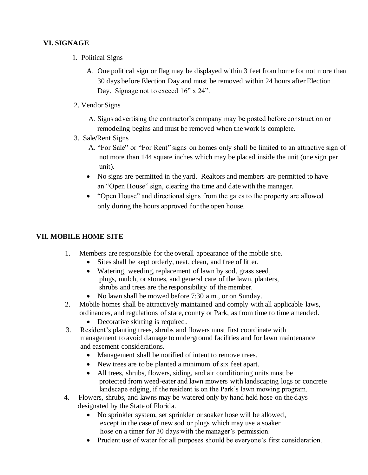# **VI. SIGNAGE**

- 1.Political Signs
	- A. One political sign or flag may be displayed within 3 feet from home for not more than 30 days before Election Day and must be removed within 24 hours after Election Day. Signage not to exceed 16" x 24".
- 2. Vendor Signs
	- A. Signs advertising the contractor's company may be posted before construction or remodeling begins and must be removed when the work is complete.
- 3. Sale/Rent Signs
	- A. "For Sale" or "For Rent" signs on homes only shall be limited to an attractive sign of not more than 144 square inches which may be placed inside the unit (one sign per unit).
	- No signs are permitted in the yard. Realtors and members are permitted to have an "Open House" sign, clearing the time and date with the manager.
	- "Open House" and directional signs from the gates to the property are allowed only during the hours approved for the open house.

### **VII. MOBILE HOME SITE**

- 1. Members are responsible for the overall appearance of the mobile site.
	- Sites shall be kept orderly, neat, clean, and free of litter.
	- Watering, weeding, replacement of lawn by sod, grass seed, plugs, mulch, or stones, and general care of the lawn, planters, shrubs and trees are the responsibility of the member.
	- No lawn shall be mowed before 7:30 a.m., or on Sunday.
- 2. Mobile homes shall be attractively maintained and comply with all applicable laws, ordinances, and regulations of state, county or Park, as from time to time amended.
	- Decorative skirting is required.
- 3. Resident's planting trees, shrubs and flowers must first coordinate with management to avoid damage to underground facilities and for lawn maintenance and easement considerations.
	- Management shall be notified of intent to remove trees.
	- New trees are to be planted a minimum of six feet apart.
	- All trees, shrubs, flowers, siding, and air conditioning units must be protected from weed-eater and lawn mowers with landscaping logs or concrete landscape edging, if the resident is on the Park's lawn mowing program.
- 4. Flowers, shrubs, and lawns may be watered only by hand held hose on the days designated by the State of Florida.
	- No sprinkler system, set sprinkler or soaker hose will be allowed, except in the case of new sod or plugs which may use a soaker hose on a timer for 30 days with the manager's permission.
	- Prudent use of water for all purposes should be everyone's first consideration.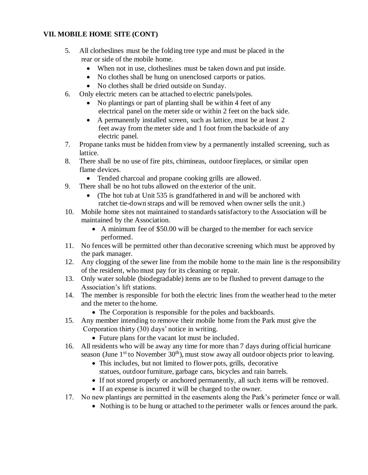### **VII. MOBILE HOME SITE (CONT)**

- 5. All clotheslines must be the folding tree type and must be placed in the rear or side of the mobile home.
	- When not in use, clotheslines must be taken down and put inside.
	- No clothes shall be hung on unenclosed carports or patios.
	- No clothes shall be dried outside on Sunday.
- 6. Only electric meters can be attached to electric panels/poles.
	- No plantings or part of planting shall be within 4 feet of any electrical panel on the meter side or within 2 feet on the back side.
	- A permanently installed screen, such as lattice, must be at least 2 feet away from the meter side and 1 foot from the backside of any electric panel.
- 7. Propane tanks must be hidden from view by a permanently installed screening, such as lattice.
- 8. There shall be no use of fire pits, chimineas, outdoor fireplaces, or similar open flame devices.
	- Tended charcoal and propane cooking grills are allowed.
- 9. There shall be no hot tubs allowed on the exterior of the unit.
	- (The hot tub at Unit 535 is grandfathered in and will be anchored with ratchet tie-down straps and will be removed when owner sells the unit.)
- 10. Mobile home sites not maintained to standards satisfactory to the Association will be maintained by the Association.
	- A minimum fee of \$50.00 will be charged to the member for each service performed.
- 11. No fences will be permitted other than decorative screening which must be approved by the park manager.
- 12. Any clogging of the sewer line from the mobile home to the main line is the responsibility of the resident, who must pay for its cleaning or repair.
- 13. Only water soluble (biodegradable) items are to be flushed to prevent damage to the Association's lift stations.
- 14. The member is responsible for both the electric lines from the weather head to the meter and the meter to the home.
	- The Corporation is responsible for the poles and backboards.
- 15. Any member intending to remove their mobile home from the Park must give the Corporation thirty (30) days' notice in writing.
	- Future plans for the vacant lot must be included.
- 16. All residents who will be away any time for more than 7 days during official hurricane season (June  $1<sup>st</sup>$  to November  $30<sup>th</sup>$ ), must stow away all outdoor objects prior to leaving.
	- This includes, but not limited to flower pots, grills, decorative statues, outdoor furniture, garbage cans, bicycles and rain barrels.
	- If not stored properly or anchored permanently, all such items will be removed.
	- If an expense is incurred it will be charged to the owner.
- 17. No new plantings are permitted in the easements along the Park's perimeter fence or wall.
	- Nothing is to be hung or attached to the perimeter walls or fences around the park.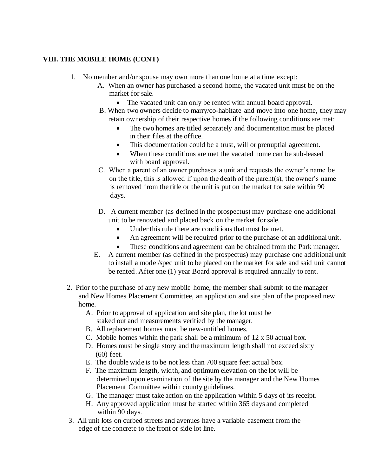- 1. No member and/or spouse may own more than one home at a time except:
	- A. When an owner has purchased a second home, the vacated unit must be on the market for sale.
		- The vacated unit can only be rented with annual board approval.
	- B. When two owners decide to marry/co-habitate and move into one home, they may retain ownership of their respective homes if the following conditions are met:
		- The two homes are titled separately and documentation must be placed in their files at the office.
		- This documentation could be a trust, will or prenuptial agreement.
		- When these conditions are met the vacated home can be sub-leased with board approval.
	- C. When a parent of an owner purchases a unit and requests the owner's name be on the title, this is allowed if upon the death of the parent(s), the owner's name is removed from the title or the unit is put on the market for sale within 90 days.
	- D. A current member (as defined in the prospectus) may purchase one additional unit to be renovated and placed back on the market for sale.
		- Under this rule there are conditions that must be met.
		- An agreement will be required prior to the purchase of an additional unit.
		- These conditions and agreement can be obtained from the Park manager.
	- E. A current member (as defined in the prospectus) may purchase one additional unit to install a model/spec unit to be placed on the market for sale and said unit cannot be rented. After one (1) year Board approval is required annually to rent.
- 2. Prior to the purchase of any new mobile home, the member shall submit to the manager and New Homes Placement Committee, an application and site plan of the proposed new home.
	- A. Prior to approval of application and site plan, the lot must be staked out and measurements verified by the manager.
	- B. All replacement homes must be new-untitled homes.
	- C. Mobile homes within the park shall be a minimum of 12 x 50 actual box.
	- D. Homes must be single story and the maximum length shall not exceed sixty (60) feet.
	- E. The double wide is to be not less than 700 square feet actual box.
	- F. The maximum length, width, and optimum elevation on the lot will be determined upon examination of the site by the manager and the New Homes Placement Committee within county guidelines.
	- G. The manager must take action on the application within 5 days of its receipt.
	- H. Any approved application must be started within 365 days and completed within 90 days.
- 3. All unit lots on curbed streets and avenues have a variable easement from the edge of the concrete to the front or side lot line.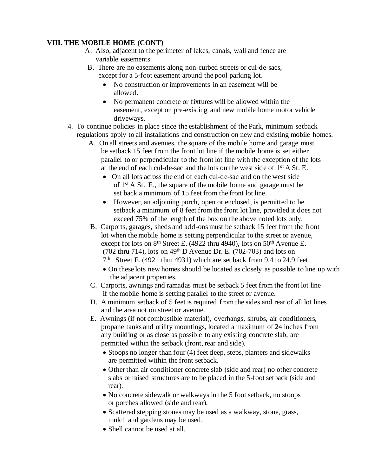- A. Also, adjacent to the perimeter of lakes, canals, wall and fence are variable easements.
- B. There are no easements along non-curbed streets or cul-de-sacs, except for a 5-foot easement around the pool parking lot.
	- No construction or improvements in an easement will be allowed.
	- No permanent concrete or fixtures will be allowed within the easement, except on pre-existing and new mobile home motor vehicle driveways.
- 4. To continue policies in place since the establishment of the Park, minimum setback regulations apply to all installations and construction on new and existing mobile homes.
	- A. On all streets and avenues, the square of the mobile home and garage must be setback 15 feet from the front lot line if the mobile home is set either parallel to or perpendicular to the front lot line with the exception of the lots at the end of each cul-de-sac and the lots on the west side of 1st A St. E.
		- On all lots across the end of each cul-de-sac and on the west side of 1st A St. E., the square of the mobile home and garage must be set back a minimum of 15 feet from the front lot line.
		- However, an adjoining porch, open or enclosed, is permitted to be setback a minimum of 8 feet from the front lot line, provided it does not exceed 75% of the length of the box on the above noted lots only.
	- B. Carports, garages, sheds and add-ons must be setback 15 feet from the front lot when the mobile home is setting perpendicular to the street or avenue, except for lots on 8<sup>th</sup> Street E. (4922 thru 4940), lots on 50<sup>th</sup> Avenue E. (702 thru 714), lots on  $49<sup>th</sup>$  D Avenue Dr. E. (702-703) and lots on 7<sup>th</sup> Street E. (4921 thru 4931) which are set back from 9.4 to 24.9 feet.
		- On these lots new homes should be located as closely as possible to line up with the adjacent properties.
	- C. Carports, awnings and ramadas must be setback 5 feet from the front lot line if the mobile home is setting parallel to the street or avenue.
	- D. A minimum setback of 5 feet is required from the sides and rear of all lot lines and the area not on street or avenue.
	- E. Awnings (if not combustible material), overhangs, shrubs, air conditioners, propane tanks and utility mountings, located a maximum of 24 inches from any building or as close as possible to any existing concrete slab, are permitted within the setback (front, rear and side).
		- Stoops no longer than four (4) feet deep, steps, planters and sidewalks are permitted within the front setback.
		- Other than air conditioner concrete slab (side and rear) no other concrete slabs or raised structures are to be placed in the 5-foot setback (side and rear).
		- No concrete sidewalk or walkways in the 5 foot setback, no stoops or porches allowed (side and rear).
		- Scattered stepping stones may be used as a walkway, stone, grass, mulch and gardens may be used.
		- Shell cannot be used at all.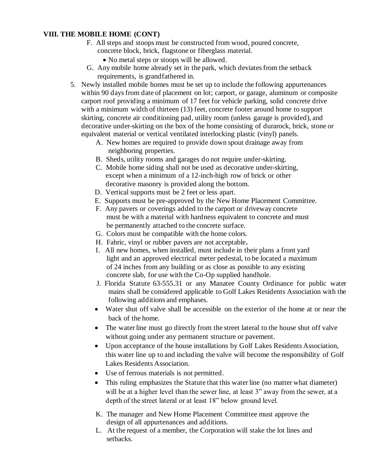- F. All steps and stoops must be constructed from wood, poured concrete, concrete block, brick, flagstone or fiberglass material.
	- No metal steps or stoops will be allowed.
- G. Any mobile home already set in the park, which deviates from the setback requirements, is grandfathered in.
- 5.Newly installed mobile homes must be set up to include the following appurtenances within 90 days from date of placement on lot; carport, or garage, aluminum or composite carport roof providing a minimum of 17 feet for vehicle parking, solid concrete drive with a minimum width of thirteen (13) feet, concrete footer around home to support skirting, concrete air conditioning pad, utility room (unless garage is provided), and decorative under-skirting on the box of the home consisting of durarock, brick, stone or equivalent material or vertical ventilated interlocking plastic (vinyl) panels.
	- A. New homes are required to provide down spout drainage away from neighboring properties.
	- B. Sheds, utility rooms and garages do not require under-skirting.
	- C. Mobile home siding shall not be used as decorative under-skirting, except when a minimum of a 12-inch-high row of brick or other decorative masonry is provided along the bottom.
	- D. Vertical supports must be 2 feet or less apart.
	- E. Supports must be pre-approved by the New Home Placement Committee.
	- F. Any pavers or coverings added to the carport or driveway concrete must be with a material with hardness equivalent to concrete and must be permanently attached to the concrete surface.
	- G. Colors must be compatible with the home colors.
	- H. Fabric, vinyl or rubber pavers are not acceptable**.**
	- I. All new homes, when installed, must include in their plans a front yard light and an approved electrical meter pedestal, to be located a maximum of 24 inches from any building or as close as possible to any existing concrete slab, for use with the Co-Op supplied handhole.
	- J. Florida Statute 63-555.31 or any Manatee County Ordinance for public water mains shall be considered applicable to Golf Lakes Residents Association with the following additions and emphases.
	- Water shut off valve shall be accessible on the exterior of the home at or near the back of the home.
	- The water line must go directly from the street lateral to the house shut off valve without going under any permanent structure or pavement.
	- Upon acceptance of the house installations by Golf Lakes Residents Association, this water line up to and including the valve will become the responsibility of Golf Lakes Residents Association.
	- Use of ferrous materials is not permitted.
	- This ruling emphasizes the Statute that this water line (no matter what diameter) will be at a higher level than the sewer line, at least 3" away from the sewer, at a depth of the street lateral or at least 18" below ground level.
	- K. The manager and New Home Placement Committee must approve the design of all appurtenances and additions.
	- L. At the request of a member, the Corporation will stake the lot lines and setbacks.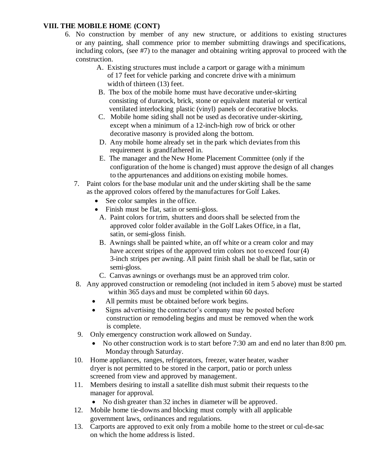- 6. No construction by member of any new structure, or additions to existing structures or any painting, shall commence prior to member submitting drawings and specifications, including colors, (see #7) to the manager and obtaining writing approval to proceed with the construction.
	- A. Existing structures must include a carport or garage with a minimum of 17 feet for vehicle parking and concrete drive with a minimum width of thirteen (13) feet.
	- B. The box of the mobile home must have decorative under-skirting consisting of durarock, brick, stone or equivalent material or vertical ventilated interlocking plastic (vinyl) panels or decorative blocks.
	- C. Mobile home siding shall not be used as decorative under-skirting, except when a minimum of a 12-inch-high row of brick or other decorative masonry is provided along the bottom.
	- D. Any mobile home already set in the park which deviates from this requirement is grandfathered in.
	- E. The manager and the New Home Placement Committee (only if the configuration of the home is changed) must approve the design of all changes to the appurtenances and additions on existing mobile homes.
	- 7. Paint colors for the base modular unit and the under skirting shall be the same as the approved colors offered by the manufactures for Golf Lakes.
		- See color samples in the office.
		- Finish must be flat, satin or semi-gloss.
			- A. Paint colors for trim, shutters and doors shall be selected from the approved color folder available in the Golf Lakes Office, in a flat, satin, or semi-gloss finish.
			- B. Awnings shall be painted white, an off white or a cream color and may have accent stripes of the approved trim colors not to exceed four (4) 3-inch stripes per awning. All paint finish shall be shall be flat, satin or semi-gloss.
			- C. Canvas awnings or overhangs must be an approved trim color.
	- 8. Any approved construction or remodeling (not included in item 5 above) must be started within 365 days and must be completed within 60 days.
		- All permits must be obtained before work begins.
		- Signs advertising the contractor's company may be posted before construction or remodeling begins and must be removed when the work is complete.
	- 9. Only emergency construction work allowed on Sunday.
		- No other construction work is to start before 7:30 am and end no later than 8:00 pm. Monday through Saturday.
	- 10. Home appliances, ranges, refrigerators, freezer, water heater, washer dryer is not permitted to be stored in the carport, patio or porch unless screened from view and approved by management.
	- 11. Members desiring to install a satellite dish must submit their requests to the manager for approval.
		- No dish greater than 32 inches in diameter will be approved.
	- 12. Mobile home tie-downs and blocking must comply with all applicable government laws, ordinances and regulations.
	- 13. Carports are approved to exit only from a mobile home to the street or cul-de-sac on which the home address is listed.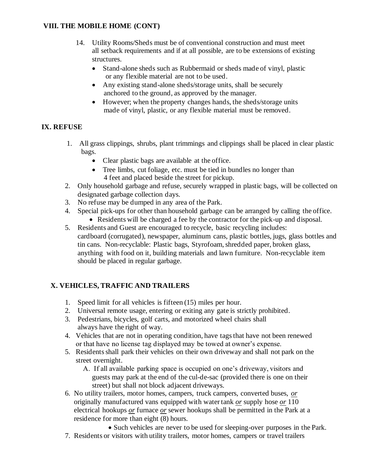- 14. Utility Rooms/Sheds must be of conventional construction and must meet all setback requirements and if at all possible, are to be extensions of existing structures.
	- Stand-alone sheds such as Rubbermaid or sheds made of vinyl, plastic or any flexible material are not to be used.
	- Any existing stand-alone sheds/storage units, shall be securely anchored to the ground, as approved by the manager.
	- However; when the property changes hands, the sheds/storage units made of vinyl, plastic, or any flexible material must be removed.

# **IX. REFUSE**

- 1. All grass clippings, shrubs, plant trimmings and clippings shall be placed in clear plastic bags.
	- Clear plastic bags are available at the office.
	- Tree limbs, cut foliage, etc. must be tied in bundles no longer than 4 feet and placed beside the street for pickup.
- 2. Only household garbage and refuse, securely wrapped in plastic bags, will be collected on designated garbage collection days.
- 3. No refuse may be dumped in any area of the Park.
- 4. Special pick-ups for other than household garbage can be arranged by calling the office.
	- Residents will be charged a fee by the contractor for the pick-up and disposal.
- 5. Residents and Guest are encouraged to recycle, basic recycling includes: cardboard (corrugated), newspaper, aluminum cans, plastic bottles, jugs, glass bottles and tin cans. Non-recyclable: Plastic bags, Styrofoam, shredded paper, broken glass, anything with food on it, building materials and lawn furniture. Non-recyclable item should be placed in regular garbage.

# **X. VEHICLES, TRAFFIC AND TRAILERS**

- 1. Speed limit for all vehicles is fifteen (15) miles per hour.
- 2. Universal remote usage, entering or exiting any gate is strictly prohibited.
- 3. Pedestrians, bicycles, golf carts, and motorized wheel chairs shall always have the right of way.
- 4. Vehicles that are not in operating condition, have tags that have not been renewed or that have no license tag displayed may be towed at owner's expense.
- 5. Residents shall park their vehicles on their own driveway and shall not park on the street overnight.
	- A. If all available parking space is occupied on one's driveway, visitors and guests may park at the end of the cul-de-sac (provided there is one on their street) but shall not block adjacent driveways.
- 6. No utility trailers, motor homes, campers, truck campers, converted buses, *or* originally manufactured vans equipped with water tank *or* supply hose *or* 110 electrical hookups *or* furnace *or* sewer hookups shall be permitted in the Park at a residence for more than eight (8) hours.
	- Such vehicles are never to be used for sleeping-over purposes in the Park.
- 7. Residents or visitors with utility trailers, motor homes, campers or travel trailers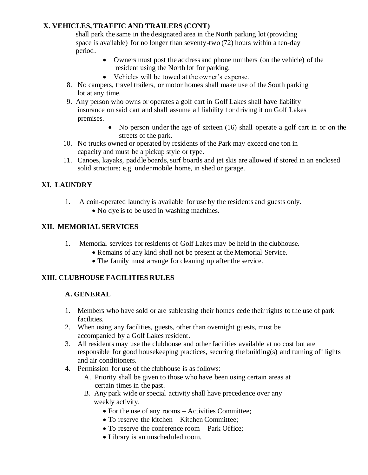# **X. VEHICLES, TRAFFIC AND TRAILERS (CONT)**

 shall park the same in the designated area in the North parking lot (providing space is available) for no longer than seventy-two (72) hours within a ten-day period.

- Owners must post the address and phone numbers (on the vehicle) of the resident using the North lot for parking.
- Vehicles will be towed at the owner's expense.
- 8. No campers, travel trailers, or motor homes shall make use of the South parking lot at any time.
- 9. Any person who owns or operates a golf cart in Golf Lakes shall have liability insurance on said cart and shall assume all liability for driving it on Golf Lakes premises.
	- No person under the age of sixteen (16) shall operate a golf cart in or on the streets of the park.
- 10. No trucks owned or operated by residents of the Park may exceed one ton in capacity and must be a pickup style or type.
- 11. Canoes, kayaks, paddle boards, surf boards and jet skis are allowed if stored in an enclosed solid structure; e.g. under mobile home, in shed or garage.

# **XI. LAUNDRY**

- 1. A coin-operated laundry is available for use by the residents and guests only.
	- No dye is to be used in washing machines.

### **XII. MEMORIAL SERVICES**

- 1. Memorial services for residents of Golf Lakes may be held in the clubhouse.
	- Remains of any kind shall not be present at the Memorial Service.
	- The family must arrange for cleaning up after the service.

#### **XIII. CLUBHOUSE FACILITIES RULES**

#### **A. GENERAL**

- 1. Members who have sold or are subleasing their homes cede their rights to the use of park facilities.
- 2. When using any facilities, guests, other than overnight guests, must be accompanied by a Golf Lakes resident.
- 3. All residents may use the clubhouse and other facilities available at no cost but are responsible for good housekeeping practices, securing the building(s) and turning off lights and air conditioners.
- 4. Permission for use of the clubhouse is as follows:
	- A. Priority shall be given to those who have been using certain areas at certain times in the past.
	- B. Any park wide or special activity shall have precedence over any weekly activity.
		- For the use of any rooms Activities Committee;
		- To reserve the kitchen Kitchen Committee:
		- To reserve the conference room Park Office;
		- Library is an unscheduled room.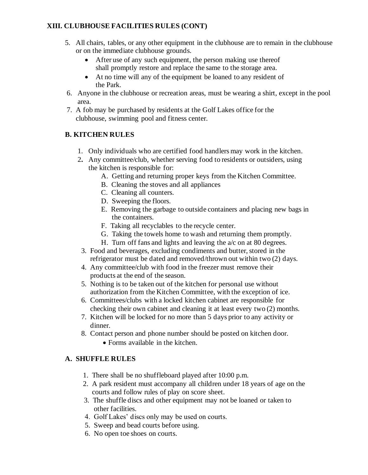# **XIII. CLUBHOUSE FACILITIES RULES (CONT)**

- 5. All chairs, tables, or any other equipment in the clubhouse are to remain in the clubhouse or on the immediate clubhouse grounds.
	- After use of any such equipment, the person making use thereof shall promptly restore and replace the same to the storage area.
	- At no time will any of the equipment be loaned to any resident of the Park.
- 6. Anyone in the clubhouse or recreation areas, must be wearing a shirt, except in the pool area.
- 7. A fob may be purchased by residents at the Golf Lakes office for the clubhouse, swimming pool and fitness center.

# **B. KITCHEN RULES**

- 1. Only individuals who are certified food handlers may work in the kitchen.
- 2**.** Any committee/club, whether serving food to residents or outsiders, using the kitchen is responsible for:
	- A. Getting and returning proper keys from the Kitchen Committee.
	- B. Cleaning the stoves and all appliances
	- C. Cleaning all counters.
	- D. Sweeping the floors.
	- E. Removing the garbage to outside containers and placing new bags in the containers.
	- F. Taking all recyclables to the recycle center.
	- G. Taking the towels home to wash and returning them promptly.
	- H. Turn off fans and lights and leaving the a/c on at 80 degrees.
- 3. Food and beverages, excluding condiments and butter, stored in the refrigerator must be dated and removed/thrown out within two (2) days.
- 4. Any committee/club with food in the freezer must remove their products at the end of the season.
- 5. Nothing is to be taken out of the kitchen for personal use without authorization from the Kitchen Committee, with the exception of ice.
- 6. Committees/clubs with a locked kitchen cabinet are responsible for checking their own cabinet and cleaning it at least every two (2) months.
- 7. Kitchen will be locked for no more than 5 days prior to any activity or dinner.
- 8. Contact person and phone number should be posted on kitchen door.
	- Forms available in the kitchen.

# **A. SHUFFLE RULES**

- 1. There shall be no shuffleboard played after 10:00 p.m.
- 2. A park resident must accompany all children under 18 years of age on the courts and follow rules of play on score sheet.
- 3. The shuffle discs and other equipment may not be loaned or taken to other facilities.
- 4. Golf Lakes' discs only may be used on courts.
- 5. Sweep and bead courts before using.
- 6. No open toe shoes on courts.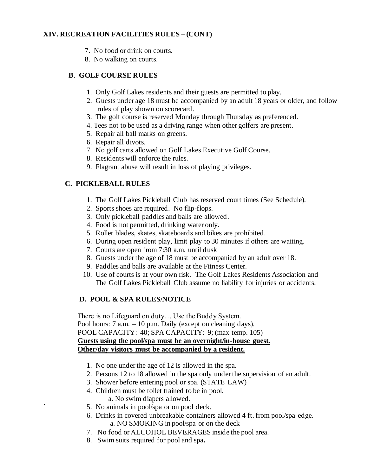#### **XIV. RECREATION FACILITIES RULES – (CONT)**

- 7. No food or drink on courts.
- 8. No walking on courts.

### **B**. **GOLF COURSE RULES**

- 1. Only Golf Lakes residents and their guests are permitted to play.
- 2. Guests under age 18 must be accompanied by an adult 18 years or older, and follow rules of play shown on scorecard.
- 3. The golf course is reserved Monday through Thursday as preferenced.
- 4. Tees not to be used as a driving range when other golfers are present.
- 5. Repair all ball marks on greens.
- 6. Repair all divots.
- 7. No golf carts allowed on Golf Lakes Executive Golf Course.
- 8. Residents will enforce the rules.
- 9. Flagrant abuse will result in loss of playing privileges.

### **C. PICKLEBALL RULES**

- 1. The Golf Lakes Pickleball Club has reserved court times (See Schedule).
- 2. Sports shoes are required. No flip-flops.
- 3. Only pickleball paddles and balls are allowed.
- 4. Food is not permitted, drinking water only.
- 5. Roller blades, skates, skateboards and bikes are prohibited.
- 6. During open resident play, limit play to 30 minutes if others are waiting.
- 7. Courts are open from 7:30 a.m. until dusk
- 8. Guests under the age of 18 must be accompanied by an adult over 18.
- 9. Paddles and balls are available at the Fitness Center.
- 10. Use of courts is at your own risk. The Golf Lakes Residents Association and The Golf Lakes Pickleball Club assume no liability for injuries or accidents.

#### **D. POOL & SPA RULES/NOTICE**

There is no Lifeguard on duty… Use the Buddy System. Pool hours: 7 a.m. – 10 p.m. Daily (except on cleaning days). POOL CAPACITY: 40; SPA CAPACITY: 9; (max temp. 105)  **Guests using the pool/spa must be an overnight/in-house guest. Other/day visitors must be accompanied by a resident.**

- 1. No one under the age of 12 is allowed in the spa.
- 2. Persons 12 to 18 allowed in the spa only under the supervision of an adult.
- 3. Shower before entering pool or spa. (STATE LAW)
- 4. Children must be toilet trained to be in pool. a. No swim diapers allowed.
- ` 5. No animals in pool/spa or on pool deck.
- 6. Drinks in covered unbreakable containers allowed 4 ft. from pool/spa edge. a. NO SMOKING in pool/spa or on the deck
- 7. No food or ALCOHOL BEVERAGES inside the pool area.
- 8. Swim suits required for pool and spa**.**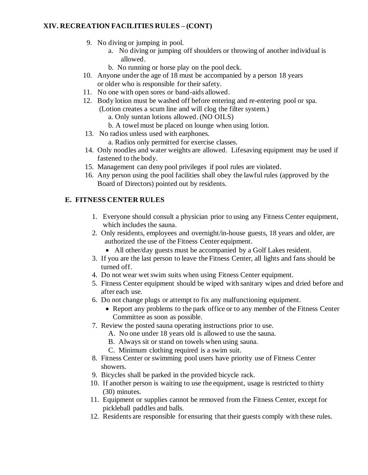# **XIV. RECREATION FACILITIES RULES – (CONT)**

- 9. No diving or jumping in pool.
	- a. No diving or jumping off shoulders or throwing of another individual is allowed.
	- b. No running or horse play on the pool deck.
- 10. Anyone under the age of 18 must be accompanied by a person 18 years or older who is responsible for their safety.
- 11. No one with open sores or band-aids allowed.
- 12. Body lotion must be washed off before entering and re-entering pool or spa. (Lotion creates a scum line and will clog the filter system.)
	- a. Only suntan lotions allowed. (NO OILS)
	- b. A towel must be placed on lounge when using lotion.
- 13. No radios unless used with earphones.
	- a. Radios only permitted for exercise classes.
- 14. Only noodles and water weights are allowed. Lifesaving equipment may be used if fastened to the body.
- 15. Management can deny pool privileges if pool rules are violated.
- 16. Any person using the pool facilities shall obey the lawful rules (approved by the Board of Directors) pointed out by residents.

#### **E. FITNESS CENTER RULES**

- 1. Everyone should consult a physician prior to using any Fitness Center equipment, which includes the sauna.
- 2. Only residents, employees and overnight/in-house guests, 18 years and older, are authorized the use of the Fitness Center equipment.
	- All other/day guests must be accompanied by a Golf Lakes resident.
- 3. If you are the last person to leave the Fitness Center, all lights and fans should be turned off.
- 4. Do not wear wet swim suits when using Fitness Center equipment.
- 5. Fitness Center equipment should be wiped with sanitary wipes and dried before and after each use.
- 6. Do not change plugs or attempt to fix any malfunctioning equipment.
	- Report any problems to the park office or to any member of the Fitness Center Committee as soon as possible.
- 7. Review the posted sauna operating instructions prior to use.
	- A. No one under 18 years old is allowed to use the sauna.
	- B. Always sit or stand on towels when using sauna.
	- C. Minimum clothing required is a swim suit.
- 8. Fitness Center or swimming pool users have priority use of Fitness Center showers.
- 9. Bicycles shall be parked in the provided bicycle rack.
- 10. If another person is waiting to use the equipment, usage is restricted to thirty (30) minutes.
- 11. Equipment or supplies cannot be removed from the Fitness Center, except for pickleball paddles and balls.
- 12. Residents are responsible for ensuring that their guests comply with these rules.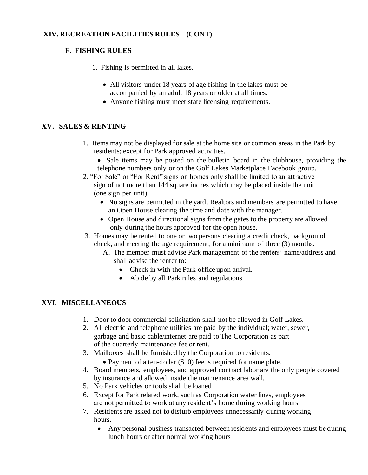### **XIV. RECREATION FACILITIES RULES – (CONT)**

### **F. FISHING RULES**

- 1. Fishing is permitted in all lakes.
	- All visitors under 18 years of age fishing in the lakes must be accompanied by an adult 18 years or older at all times.
	- Anyone fishing must meet state licensing requirements.

#### **XV. SALES & RENTING**

- 1. Items may not be displayed for sale at the home site or common areas in the Park by residents; except for Park approved activities.
	- Sale items may be posted on the bulletin board in the clubhouse, providing the telephone numbers only or on the Golf Lakes Marketplace Facebook group.
- 2. "For Sale" or "For Rent" signs on homes only shall be limited to an attractive sign of not more than 144 square inches which may be placed inside the unit (one sign per unit).
	- No signs are permitted in the yard. Realtors and members are permitted to have an Open House clearing the time and date with the manager.
	- Open House and directional signs from the gates to the property are allowed only during the hours approved for the open house.
- 3. Homes may be rented to one or two persons clearing a credit check, background check, and meeting the age requirement, for a minimum of three (3) months.
	- A. The member must advise Park management of the renters' name/address and shall advise the renter to:
		- Check in with the Park office upon arrival.
		- Abide by all Park rules and regulations.

#### **XVI. MISCELLANEOUS**

- 1. Door to door commercial solicitation shall not be allowed in Golf Lakes.
- 2. All electric and telephone utilities are paid by the individual; water, sewer, garbage and basic cable/internet are paid to The Corporation as part of the quarterly maintenance fee or rent.
- 3. Mailboxes shall be furnished by the Corporation to residents.
	- Payment of a ten-dollar (\$10) fee is required for name plate.
- 4. Board members, employees, and approved contract labor are the only people covered by insurance and allowed inside the maintenance area wall.
- 5. No Park vehicles or tools shall be loaned.
- 6. Except for Park related work, such as Corporation water lines, employees are not permitted to work at any resident's home during working hours.
- 7. Residents are asked not to disturb employees unnecessarily during working hours.
	- Any personal business transacted between residents and employees must be during lunch hours or after normal working hours